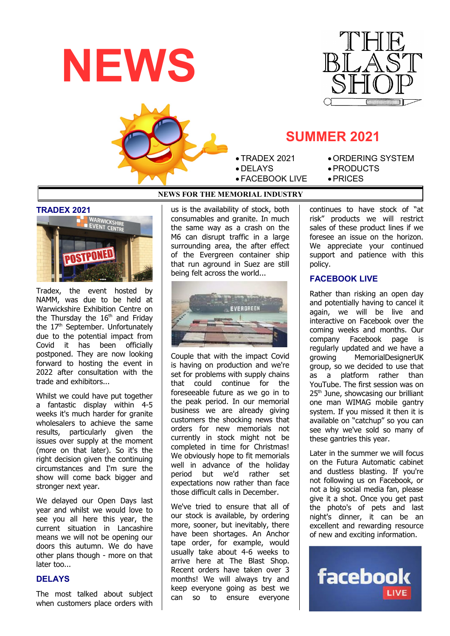





# **SUMMER 2021**

- TRADEX 2021
- DELAYS
- FACEBOOK LIVE
- ORDERING SYSTEM PRODUCTS
- PRICES

## **NEWS FOR THE MEMORIAL INDUSTRY**

### **TRADEX 2021**



Tradex, the event hosted by NAMM, was due to be held at Warwickshire Exhibition Centre on the Thursday the  $16<sup>th</sup>$  and Friday the  $17<sup>th</sup>$  September. Unfortunately due to the potential impact from Covid it has been officially postponed. They are now looking forward to hosting the event in 2022 after consultation with the trade and exhibitors...

Whilst we could have put together a fantastic display within 4-5 weeks it's much harder for granite wholesalers to achieve the same results, particularly given the issues over supply at the moment (more on that later). So it's the right decision given the continuing circumstances and I'm sure the show will come back bigger and stronger next year.

We delayed our Open Days last year and whilst we would love to see you all here this year, the current situation in Lancashire means we will not be opening our doors this autumn. We do have other plans though - more on that later too...

### **DELAYS**

The most talked about subject when customers place orders with

us is the availability of stock, both consumables and granite. In much the same way as a crash on the M6 can disrupt traffic in a large surrounding area, the after effect of the Evergreen container ship that run aground in Suez are still being felt across the world...



Couple that with the impact Covid is having on production and we're set for problems with supply chains that could continue for the foreseeable future as we go in to the peak period. In our memorial business we are already giving customers the shocking news that orders for new memorials not currently in stock might not be completed in time for Christmas! We obviously hope to fit memorials well in advance of the holiday period but we'd rather set .<br>expectations now rather than face those difficult calls in December.

We've tried to ensure that all of our stock is available, by ordering more, sooner, but inevitably, there have been shortages. An Anchor tape order, for example, would usually take about 4-6 weeks to arrive here at The Blast Shop. Recent orders have taken over 3 months! We will always try and keep everyone going as best we can so to ensure everyone

continues to have stock of "at risk" products we will restrict sales of these product lines if we foresee an issue on the horizon. We appreciate your continued support and patience with this policy.

## **FACEBOOK LIVE**

Rather than risking an open day and potentially having to cancel it again, we will be live and interactive on Facebook over the coming weeks and months. Our company Facebook page is regularly updated and we have a growing MemorialDesignerUK group, so we decided to use that as a platform rather than YouTube. The first session was on 25<sup>th</sup> June, showcasing our brilliant one man WIMAG mobile gantry system. If you missed it then it is available on "catchup" so you can see why we've sold so many of these gantries this year.

Later in the summer we will focus on the Futura Automatic cabinet and dustless blasting. If you're not following us on Facebook, or not a big social media fan, please give it a shot. Once you get past the photo's of pets and last night's dinner, it can be an excellent and rewarding resource of new and exciting information.

facebook LIVE